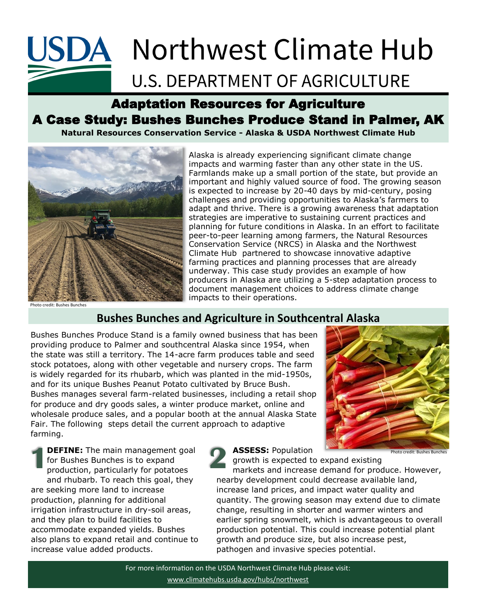# **USDA** Northwest Climate Hub

### **U.S. DEPARTMENT OF AGRICULTURE**

### Adaptation Resources for Agriculture A Case Study: Bushes Bunches Produce Stand in Palmer, AK

**Natural Resources Conservation Service - Alaska & USDA Northwest Climate Hub**



Alaska is already experiencing significant climate change impacts and warming faster than any other state in the US. Farmlands make up a small portion of the state, but provide an important and highly valued source of food. The growing season is expected to increase by 20-40 days by mid-century, posing challenges and providing opportunities to Alaska's farmers to adapt and thrive. There is a growing awareness that adaptation strategies are imperative to sustaining current practices and planning for future conditions in Alaska. In an effort to facilitate peer-to-peer learning among farmers, the Natural Resources Conservation Service (NRCS) in Alaska and the Northwest Climate Hub partnered to showcase innovative adaptive farming practices and planning processes that are already underway. This case study provides an example of how producers in Alaska are utilizing a 5-step adaptation process to document management choices to address climate change impacts to their operations.

Photo credit: Bushes Bunches

### **Bushes Bunches and Agriculture in Southcentral Alaska**

Bushes Bunches Produce Stand is a family owned business that has been providing produce to Palmer and southcentral Alaska since 1954, when the state was still a territory. The 14-acre farm produces table and seed stock potatoes, along with other vegetable and nursery crops. The farm is widely regarded for its rhubarb, which was planted in the mid-1950s, and for its unique Bushes Peanut Potato cultivated by Bruce Bush. Bushes manages several farm-related businesses, including a retail shop for produce and dry goods sales, a winter produce market, online and wholesale produce sales, and a popular booth at the annual Alaska State Fair. The following steps detail the current approach to adaptive farming.

**DEFINE:** The main management goal for Bushes Bunches is to expand production, particularly for potatoes and rhubarb. To reach this goal, they are seeking more land to increase production, planning for additional irrigation infrastructure in dry-soil areas, and they plan to build facilities to accommodate expanded yields. Bushes also plans to expand retail and continue to increase value added products. **1**

**ASSESS:** Population



growth is expected to expand existing

markets and increase demand for produce. However, nearby development could decrease available land, increase land prices, and impact water quality and quantity. The growing season may extend due to climate change, resulting in shorter and warmer winters and earlier spring snowmelt, which is advantageous to overall production potential. This could increase potential plant growth and produce size, but also increase pest, pathogen and invasive species potential. **2**

For more information on the USDA Northwest Climate Hub please visit: [www.climatehubs.usda.gov/hubs/northwest](https://www.climatehubs.usda.gov/hubs/northwest)